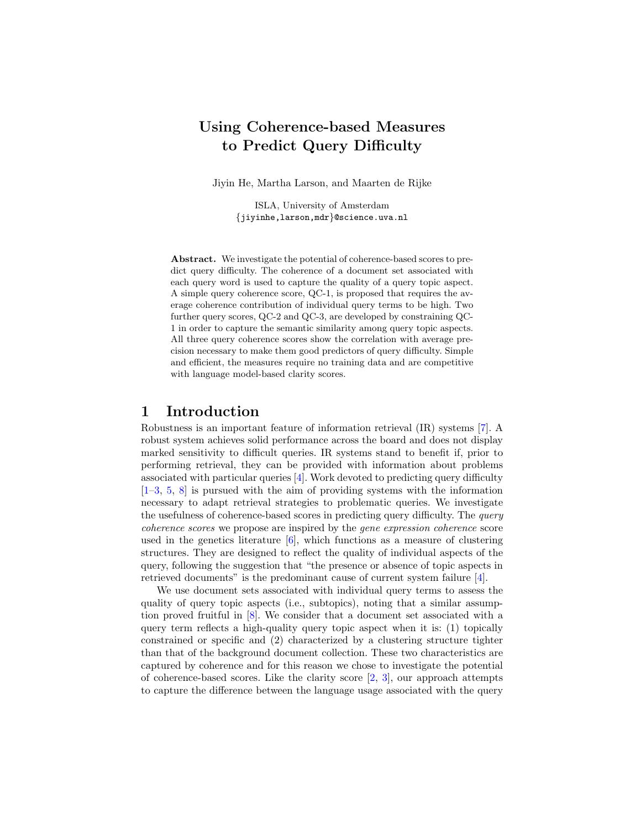# Using Coherence-based Measures to Predict Query Difficulty

Jiyin He, Martha Larson, and Maarten de Rijke

ISLA, University of Amsterdam {jiyinhe,larson,mdr}@science.uva.nl

Abstract. We investigate the potential of coherence-based scores to predict query difficulty. The coherence of a document set associated with each query word is used to capture the quality of a query topic aspect. A simple query coherence score, QC-1, is proposed that requires the average coherence contribution of individual query terms to be high. Two further query scores, QC-2 and QC-3, are developed by constraining QC-1 in order to capture the semantic similarity among query topic aspects. All three query coherence scores show the correlation with average precision necessary to make them good predictors of query difficulty. Simple and efficient, the measures require no training data and are competitive with language model-based clarity scores.

### 1 Introduction

Robustness is an important feature of information retrieval (IR) systems [\[7\]](#page-4-0). A robust system achieves solid performance across the board and does not display marked sensitivity to difficult queries. IR systems stand to benefit if, prior to performing retrieval, they can be provided with information about problems associated with particular queries [\[4\]](#page-4-1). Work devoted to predicting query difficulty [\[1](#page-4-2)[–3,](#page-4-3) [5,](#page-4-4) [8\]](#page-4-5) is pursued with the aim of providing systems with the information necessary to adapt retrieval strategies to problematic queries. We investigate the usefulness of coherence-based scores in predicting query difficulty. The *query* coherence scores we propose are inspired by the gene expression coherence score used in the genetics literature [\[6\]](#page-4-6), which functions as a measure of clustering structures. They are designed to reflect the quality of individual aspects of the query, following the suggestion that "the presence or absence of topic aspects in retrieved documents" is the predominant cause of current system failure [\[4\]](#page-4-1).

We use document sets associated with individual query terms to assess the quality of query topic aspects (i.e., subtopics), noting that a similar assumption proved fruitful in [\[8\]](#page-4-5). We consider that a document set associated with a query term reflects a high-quality query topic aspect when it is: (1) topically constrained or specific and (2) characterized by a clustering structure tighter than that of the background document collection. These two characteristics are captured by coherence and for this reason we chose to investigate the potential of coherence-based scores. Like the clarity score  $[2, 3]$  $[2, 3]$  $[2, 3]$ , our approach attempts to capture the difference between the language usage associated with the query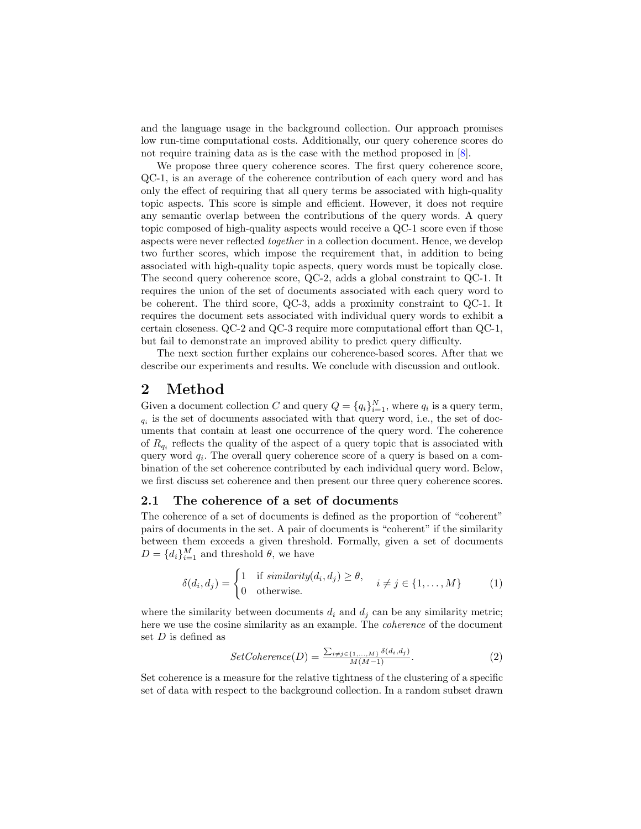and the language usage in the background collection. Our approach promises low run-time computational costs. Additionally, our query coherence scores do not require training data as is the case with the method proposed in  $[8]$ .

We propose three query coherence scores. The first query coherence score, QC-1, is an average of the coherence contribution of each query word and has only the effect of requiring that all query terms be associated with high-quality topic aspects. This score is simple and efficient. However, it does not require any semantic overlap between the contributions of the query words. A query topic composed of high-quality aspects would receive a QC-1 score even if those aspects were never reflected together in a collection document. Hence, we develop two further scores, which impose the requirement that, in addition to being associated with high-quality topic aspects, query words must be topically close. The second query coherence score, QC-2, adds a global constraint to QC-1. It requires the union of the set of documents associated with each query word to be coherent. The third score, QC-3, adds a proximity constraint to QC-1. It requires the document sets associated with individual query words to exhibit a certain closeness. QC-2 and QC-3 require more computational effort than QC-1, but fail to demonstrate an improved ability to predict query difficulty.

The next section further explains our coherence-based scores. After that we describe our experiments and results. We conclude with discussion and outlook.

### 2 Method

Given a document collection C and query  $Q = \{q_i\}_{i=1}^N$ , where  $q_i$  is a query term,  $q_i$  is the set of documents associated with that query word, i.e., the set of documents that contain at least one occurrence of the query word. The coherence of  $R_{q_i}$  reflects the quality of the aspect of a query topic that is associated with query word  $q_i$ . The overall query coherence score of a query is based on a combination of the set coherence contributed by each individual query word. Below, we first discuss set coherence and then present our three query coherence scores.

#### 2.1 The coherence of a set of documents

The coherence of a set of documents is defined as the proportion of "coherent" pairs of documents in the set. A pair of documents is "coherent" if the similarity between them exceeds a given threshold. Formally, given a set of documents  $D = \{d_i\}_{i=1}^M$  and threshold  $\theta$ , we have

$$
\delta(d_i, d_j) = \begin{cases} 1 & \text{if } similarity(d_i, d_j) \ge \theta, \\ 0 & \text{otherwise.} \end{cases} \quad i \neq j \in \{1, \dots, M\} \tag{1}
$$

where the similarity between documents  $d_i$  and  $d_j$  can be any similarity metric; here we use the cosine similarity as an example. The *coherence* of the document set D is defined as

$$
SetCoherence(D) = \frac{\sum_{i \neq j \in \{1, \ldots, M\}} \delta(d_i, d_j)}{M(M-1)}.
$$
\n(2)

Set coherence is a measure for the relative tightness of the clustering of a specific set of data with respect to the background collection. In a random subset drawn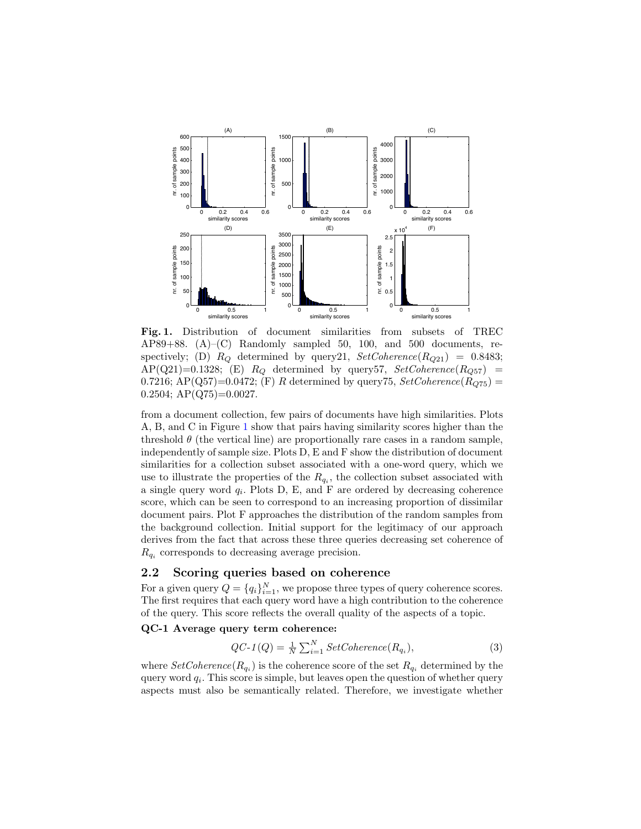

<span id="page-2-0"></span>Fig. 1. Distribution of document similarities from subsets of TREC AP89+88. (A)–(C) Randomly sampled 50, 100, and 500 documents, respectively; (D)  $R_Q$  determined by query21,  $SetCoherence(R_{Q21}) = 0.8483$ ;  $AP(Q21)=0.1328; (E)$   $R_Q$  determined by query57,  $SetCoherence(R_{Q57})$  = 0.7216; AP(Q57)=0.0472; (F) R determined by query75,  $SetCoherence(R_{Q75}) =$  $0.2504$ ; AP(Q75)= $0.0027$ .

from a document collection, few pairs of documents have high similarities. Plots A, B, and C in Figure [1](#page-2-0) show that pairs having similarity scores higher than the threshold  $\theta$  (the vertical line) are proportionally rare cases in a random sample, independently of sample size. Plots D, E and F show the distribution of document similarities for a collection subset associated with a one-word query, which we use to illustrate the properties of the  $R_{q_i}$ , the collection subset associated with a single query word  $q_i$ . Plots D, E, and F are ordered by decreasing coherence score, which can be seen to correspond to an increasing proportion of dissimilar document pairs. Plot F approaches the distribution of the random samples from the background collection. Initial support for the legitimacy of our approach derives from the fact that across these three queries decreasing set coherence of  $R_{q_i}$  corresponds to decreasing average precision.

#### 2.2 Scoring queries based on coherence

For a given query  $Q = \{q_i\}_{i=1}^N$ , we propose three types of query coherence scores. The first requires that each query word have a high contribution to the coherence of the query. This score reflects the overall quality of the aspects of a topic.

#### QC-1 Average query term coherence:

$$
QC-1(Q) = \frac{1}{N} \sum_{i=1}^{N} SetCoherence(R_{q_i}),
$$
\n(3)

where  $SetCoherence(R_{q_i})$  is the coherence score of the set  $R_{q_i}$  determined by the query word  $q_i$ . This score is simple, but leaves open the question of whether query aspects must also be semantically related. Therefore, we investigate whether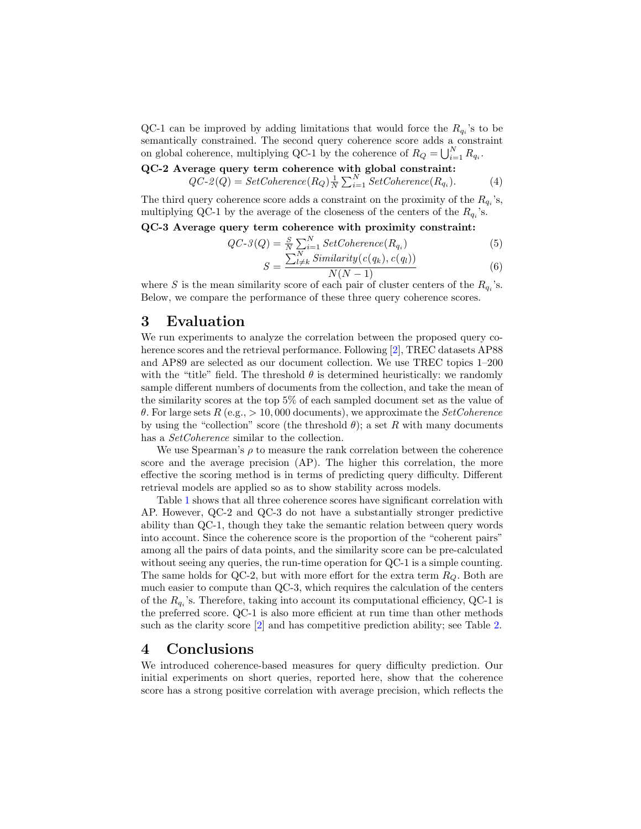QC-1 can be improved by adding limitations that would force the  $R_{q_i}$ 's to be semantically constrained. The second query coherence score adds a constraint on global coherence, multiplying QC-1 by the coherence of  $R_Q = \bigcup_{i=1}^N R_{q_i}$ .

QC-2 Average query term coherence with global constraint:  $QC - 2(Q) = SetCoherence(R_Q)\frac{1}{N}\sum_{i=1}^{N} SetCoherence(R_{q_i})$  $(4)$ 

The third query coherence score adds a constraint on the proximity of the  $R_{q_i}$ 's, multiplying QC-1 by the average of the closeness of the centers of the  $R_{q_i}$ 's.

QC-3 Average query term coherence with proximity constraint:

$$
QC-3(Q) = \frac{S}{N} \sum_{i=1}^{N} SetCoherence(R_{q_i})
$$
\n(5)

$$
S = \frac{\sum_{l \neq k}^{N} Similarity(c(q_k), c(q_l))}{N(N-1)}
$$
(6)

where S is the mean similarity score of each pair of cluster centers of the  $R_{q_i}$ 's. Below, we compare the performance of these three query coherence scores.

## 3 Evaluation

We run experiments to analyze the correlation between the proposed query coherence scores and the retrieval performance. Following [\[2\]](#page-4-7), TREC datasets AP88 and AP89 are selected as our document collection. We use TREC topics 1–200 with the "title" field. The threshold  $\theta$  is determined heuristically: we randomly sample different numbers of documents from the collection, and take the mean of the similarity scores at the top 5% of each sampled document set as the value of θ. For large sets R (e.g., > 10,000 documents), we approximate the SetCoherence by using the "collection" score (the threshold  $\theta$ ); a set R with many documents has a SetCoherence similar to the collection.

We use Spearman's  $\rho$  to measure the rank correlation between the coherence score and the average precision (AP). The higher this correlation, the more effective the scoring method is in terms of predicting query difficulty. Different retrieval models are applied so as to show stability across models.

Table [1](#page-4-8) shows that all three coherence scores have significant correlation with AP. However, QC-2 and QC-3 do not have a substantially stronger predictive ability than QC-1, though they take the semantic relation between query words into account. Since the coherence score is the proportion of the "coherent pairs" among all the pairs of data points, and the similarity score can be pre-calculated without seeing any queries, the run-time operation for QC-1 is a simple counting. The same holds for QC-2, but with more effort for the extra term  $R_Q$ . Both are much easier to compute than QC-3, which requires the calculation of the centers of the  $R_{q_i}$ 's. Therefore, taking into account its computational efficiency, QC-1 is the preferred score. QC-1 is also more efficient at run time than other methods such as the clarity score [\[2\]](#page-4-7) and has competitive prediction ability; see Table [2.](#page-4-9)

# 4 Conclusions

We introduced coherence-based measures for query difficulty prediction. Our initial experiments on short queries, reported here, show that the coherence score has a strong positive correlation with average precision, which reflects the